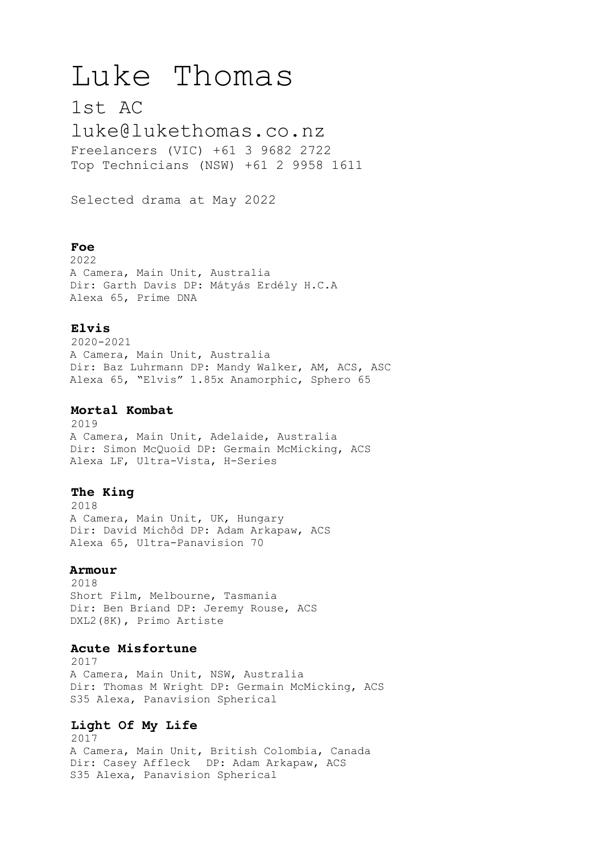# Luke Thomas

1st AC

[luke@lukethomas.co.nz](mailto:luke@lukethomas.co.nz) Freelancers (VIC) +61 3 9682 2722 Top Technicians (NSW) +61 2 9958 1611

Selected drama at May 2022

## **Foe**

2022 A Camera, Main Unit, Australia Dir: Garth Davis DP: Mátyás Erdély H.C.A Alexa 65, Prime DNA

## **Elvis**

2020-2021 A Camera, Main Unit, Australia Dir: Baz Luhrmann DP: Mandy Walker, AM, ACS, ASC Alexa 65, "Elvis" 1.85x Anamorphic, Sphero 65

## **Mortal Kombat**

2019 A Camera, Main Unit, Adelaide, Australia Dir: Simon McQuoid DP: Germain McMicking, ACS Alexa LF, Ultra-Vista, H-Series

## **The King**

2018 A Camera, Main Unit, UK, Hungary Dir: David Michôd DP: Adam Arkapaw, ACS Alexa 65, Ultra-Panavision 70

## **Armour**

2018 Short Film, Melbourne, Tasmania Dir: Ben Briand DP: Jeremy Rouse, ACS DXL2(8K), Primo Artiste

## **Acute Misfortune**

2017 A Camera, Main Unit, NSW, Australia Dir: Thomas M Wright DP: Germain McMicking, ACS S35 Alexa, Panavision Spherical

# **Light Of My Life**

2017 A Camera, Main Unit, British Colombia, Canada Dir: Casey Affleck DP: Adam Arkapaw, ACS S35 Alexa, Panavision Spherical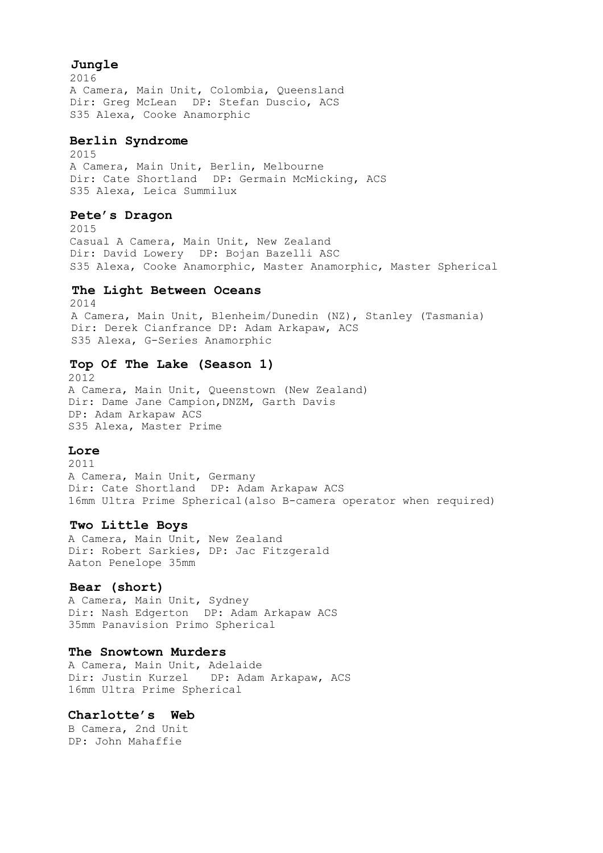## **Jungle**

2016 A Camera, Main Unit, Colombia, Queensland Dir: Greg McLean DP: Stefan Duscio, ACS S35 Alexa, Cooke Anamorphic

## **Berlin Syndrome**

2015 A Camera, Main Unit, Berlin, Melbourne Dir: Cate Shortland DP: Germain McMicking, ACS S35 Alexa, Leica Summilux

## **Pete's Dragon**

2015 Casual A Camera, Main Unit, New Zealand Dir: David Lowery DP: Bojan Bazelli ASC S35 Alexa, Cooke Anamorphic, Master Anamorphic, Master Spherical

#### **The Light Between Oceans**

2014 A Camera, Main Unit, Blenheim/Dunedin (NZ), Stanley (Tasmania) Dir: Derek Cianfrance DP: Adam Arkapaw, ACS S35 Alexa, G-Series Anamorphic

#### **Top Of The Lake (Season 1)**

2012 A Camera, Main Unit, Queenstown (New Zealand) Dir: Dame Jane Campion,DNZM, Garth Davis DP: Adam Arkapaw ACS S35 Alexa, Master Prime

#### **Lore**

2011 A Camera, Main Unit, Germany Dir: Cate Shortland DP: Adam Arkapaw ACS 16mm Ultra Prime Spherical(also B-camera operator when required)

#### **Two Little Boys**

A Camera, Main Unit, New Zealand Dir: Robert Sarkies, DP: Jac Fitzgerald Aaton Penelope 35mm

#### **Bear (short)**

A Camera, Main Unit, Sydney Dir: Nash Edgerton DP: Adam Arkapaw ACS 35mm Panavision Primo Spherical

#### **The Snowtown Murders**

A Camera, Main Unit, Adelaide Dir: Justin Kurzel DP: Adam Arkapaw, ACS 16mm Ultra Prime Spherical

## **Charlotte's Web**

B Camera, 2nd Unit DP: John Mahaffie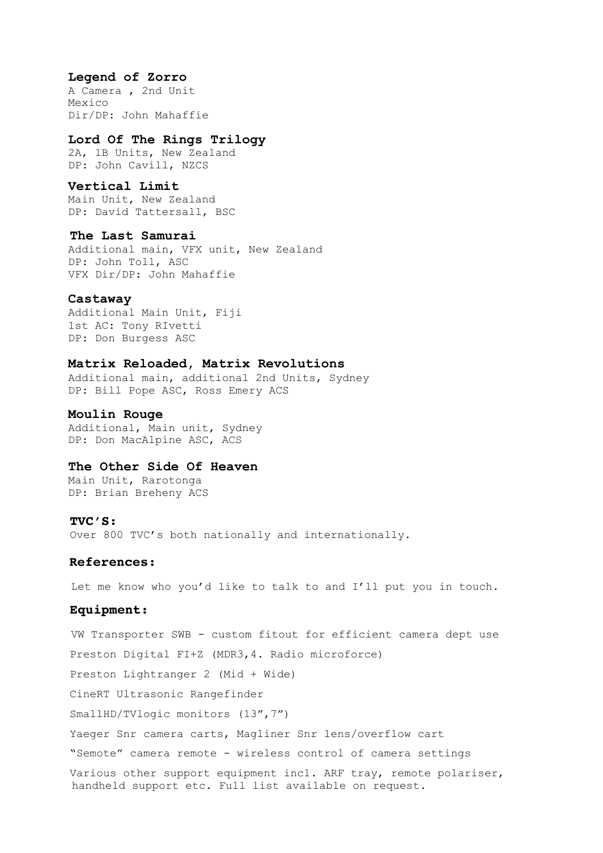#### **Legend of Zorro**

A Camera , 2nd Unit Mexico Dir/DP: John Mahaffie

## **Lord Of The Rings Trilogy**

2A, 1B Units, New Zealand DP: John Cavill, NZCS

## **Vertical Limit**

Main Unit, New Zealand DP: David Tattersall, BSC

#### **The Last Samurai**

Additional main, VFX unit, New Zealand DP: John Toll, ASC VFX Dir/DP: John Mahaffie

#### **Castaway**

Additional Main Unit, Fiji 1st AC: Tony RIvetti DP: Don Burgess ASC

## **Matrix Reloaded, Matrix Revolutions**

Additional main, additional 2nd Units, Sydney DP: Bill Pope ASC, Ross Emery ACS

#### **Moulin Rouge**

Additional, Main unit, Sydney DP: Don MacAlpine ASC, ACS

#### **The Other Side Of Heaven**

Main Unit, Rarotonga DP: Brian Breheny ACS

#### **TVC'S:**

Over 800 TVC's both nationally and internationally.

#### **References:**

Let me know who you'd like to talk to and I'll put you in touch.

#### **Equipment:**

VW Transporter SWB - custom fitout for efficient camera dept use Preston Digital FI+Z (MDR3,4. Radio microforce) Preston Lightranger 2 (Mid + Wide) CineRT Ultrasonic Rangefinder SmallHD/TVlogic monitors (13",7") Yaeger Snr camera carts, Magliner Snr lens/overflow cart "Semote" camera remote - wireless control of camera settings Various other support equipment incl. ARF tray, remote polariser, handheld support etc. Full list available on request.